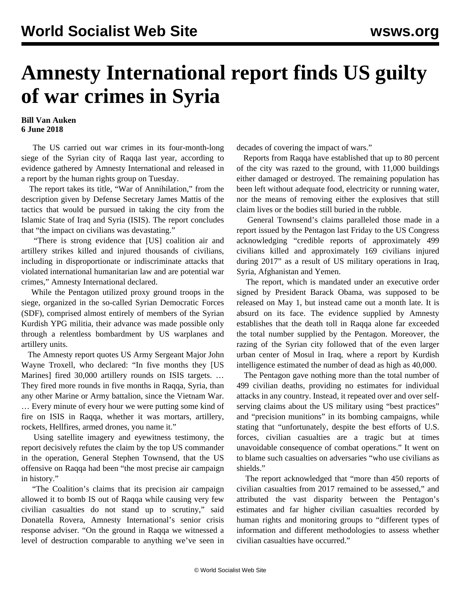## **Amnesty International report finds US guilty of war crimes in Syria**

## **Bill Van Auken 6 June 2018**

 The US carried out war crimes in its four-month-long siege of the Syrian city of Raqqa last year, according to evidence gathered by Amnesty International and released in a report by the human rights group on Tuesday.

 The report takes its title, "War of Annihilation," from the description given by Defense Secretary James Mattis of the tactics that would be pursued in taking the city from the Islamic State of Iraq and Syria (ISIS). The report concludes that "the impact on civilians was devastating."

 "There is strong evidence that [US] coalition air and artillery strikes killed and injured thousands of civilians, including in disproportionate or indiscriminate attacks that violated international humanitarian law and are potential war crimes," Amnesty International declared.

 While the Pentagon utilized proxy ground troops in the siege, organized in the so-called Syrian Democratic Forces (SDF), comprised almost entirely of members of the Syrian Kurdish YPG militia, their advance was made possible only through a relentless bombardment by US warplanes and artillery units.

 The Amnesty report quotes US Army Sergeant Major John Wayne Troxell, who declared: "In five months they [US Marines] fired 30,000 artillery rounds on ISIS targets. ... They fired more rounds in five months in Raqqa, Syria, than any other Marine or Army battalion, since the Vietnam War. … Every minute of every hour we were putting some kind of fire on ISIS in Raqqa, whether it was mortars, artillery, rockets, Hellfires, armed drones, you name it."

 Using satellite imagery and eyewitness testimony, the report decisively refutes the claim by the top US commander in the operation, General Stephen Townsend, that the US offensive on Raqqa had been "the most precise air campaign in history."

 "The Coalition's claims that its precision air campaign allowed it to bomb IS out of Raqqa while causing very few civilian casualties do not stand up to scrutiny," said Donatella Rovera, Amnesty International's senior crisis response adviser. "On the ground in Raqqa we witnessed a level of destruction comparable to anything we've seen in

decades of covering the impact of wars."

 Reports from Raqqa have established that up to 80 percent of the city was razed to the ground, with 11,000 buildings either damaged or destroyed. The remaining population has been left without adequate food, electricity or running water, nor the means of removing either the explosives that still claim lives or the bodies still buried in the rubble.

 General Townsend's claims paralleled those made in a report issued by the Pentagon last Friday to the US Congress acknowledging "credible reports of approximately 499 civilians killed and approximately 169 civilians injured during 2017" as a result of US military operations in Iraq, Syria, Afghanistan and Yemen.

 The report, which is mandated under an executive order signed by President Barack Obama, was supposed to be released on May 1, but instead came out a month late. It is absurd on its face. The evidence supplied by Amnesty establishes that the death toll in Raqqa alone far exceeded the total number supplied by the Pentagon. Moreover, the razing of the Syrian city followed that of the even larger urban center of Mosul in Iraq, where a report by Kurdish intelligence estimated the number of dead as high as 40,000.

 The Pentagon gave nothing more than the total number of 499 civilian deaths, providing no estimates for individual attacks in any country. Instead, it repeated over and over selfserving claims about the US military using "best practices" and "precision munitions" in its bombing campaigns, while stating that "unfortunately, despite the best efforts of U.S. forces, civilian casualties are a tragic but at times unavoidable consequence of combat operations." It went on to blame such casualties on adversaries "who use civilians as shields."

 The report acknowledged that "more than 450 reports of civilian casualties from 2017 remained to be assessed," and attributed the vast disparity between the Pentagon's estimates and far higher civilian casualties recorded by human rights and monitoring groups to "different types of information and different methodologies to assess whether civilian casualties have occurred."